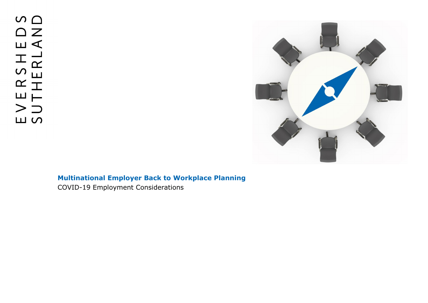$\circ$   $\circ$  $\begin{array}{c} \square \end{array}$  $\Box$ ERSHI<br>THERL,  $>$  $\supset$ **LU SO** 



# **Multinational Employer Back to Workplace Planning**

COVID-19 Employment Considerations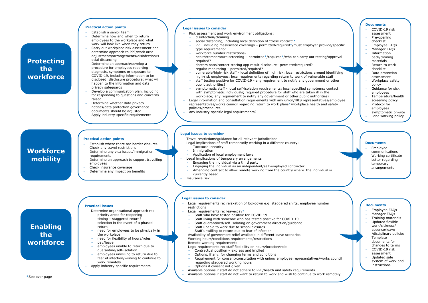\*See over page

#### **Practical action points**

- − Establish a senior team
- Determine how and when to return employees to the workplace and what work will look like when they return
- − Carry out workplace risk assessment and determine approach to PPE/work area adjustments/arrangements/disinfection/s ocial distancing
- − Determine an approach/develop a procedure for employees reporting diagnosis, symptoms or exposure to COVID-19, including information to be disclosed; disclosure procedure; what will happen to the information and data privacy safeguards
- Develop a communication plan, including for responding to questions and concerns raised
- Determine whether data privacy notices/data protection governance documents should be adjusted
- − Apply industry-specific requirements
- − Risk assessment and work environment obligations:
	- disinfection/cleaning
	- social distancing, including local definition of "close contact"\*
- PPE, including masks/face coverings permitted/required\*/must employer provide/specific type requirement?
- workforce number restrictions?
- health/temperature screening permitted\*/required\*/who can carry out testing/approval required?
- doctors note/contact-tracing app result disclosure– permitted/required?
- regular monitoring permitted/required?
- vulnerable/high-risk staff local definition of high risk; local restrictions around identifying high-risk employees; local requirements regarding return to work of vulnerable staff
- staff testing positive for COVID-19 any requirement to notify any government or other public authorities?
- symptomatic staff local self-isolation requirements; local specified symptoms; contact with symptomatic individuals; required procedure for staff who are taken ill in the workplace; any requirement to notify any government or other public authorities?
- − Legal information and consultation requirements with any union/H&S representatives/employee representatives/works council regarding return to work plans\*/workplace health and safety policies/procedures
- Any industry-specific legal requirements?

#### **Legal issues to consider**

- Travel restrictions/guidance for all relevant jurisdictions
- Legal implications of staff temporarily working in a different country:
	- Tax/social security
	- **Immigration**
- Application of local employment laws
- Legal implications of temporary arrangements
- Engaging the individual via a third party
- Engaging the individual as an independent/self-employed contractor
- Amending contract to allow remote working from the country where the individual is currently based
- − Insurance risk



#### **Legal issues to consider**

### **Legal issues to consider**

- − Legal requirements re: relaxation of lockdown e.g. staggered shifts, employee number restrictions
- − Legal requirements re: leave/pay\*
- Staff who have tested positive for COVID-19
- Staff living with someone who has tested positive for COVID-19
- Staff quarantined/self-isolating on government direction/guidance
- Staff unable to work due to school closures
- Staff unwilling to return due to fear of infection
- − Availability of government relief available in different leave scenarios
- − Working hours/conditions requirements/restrictions
- Remote working requirements
- − Legal requirements re: staff flexibility on hours/location/role
- Contractual position express and implied - Options, if any, for changing terms and conditions
- Requirement for consent/consultation with union/ employee representatives/works council regarding staggered working hours
- Options if consent not given
- − Available options if staff do not adhere to PPE/health and safety requirements
- − Available options if staff do not want to return to work and wish to continue to work remotely

## **Protecting the workforce**

**Workforce** 

**mobility**

**Enabling** 

**the** 

**workforce**

#### **Practical action points**

- Establish where there are border closures
- − Check any travel restrictions
- − Determine any visa issues/immigration requirements
- − Determine an approach to support travelling employees
- − Check insurance coverage
- Determine any impact on benefits

#### **Practical issues**

- − Determine organisational approach re:
	- priority areas for reopening
	- timing staggered return?
- selection in the event of a phased return
- need for employees to be physically in the workplace
- need for flexibility of hours/roles
- pay/leave
- employees unable to return due to quarantine/self-isolation
- employees unwilling to return due to fear of infection/wishing to continue to work remotely
- − Apply industry-specific requirements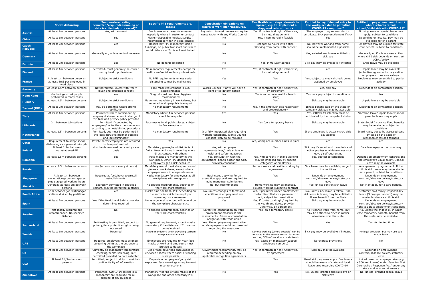|                                 |                                                                                   | <b>Temperature testing</b>                                                                                      | <b>Specific PPE requirements e.g.</b>                                                                                   | <b>Consultation obligations re:</b>                                                                                                   | Can flexible working/telework be                                                                                             | <b>Entitled to pay if denied entry to</b>                                                                          | <b>Entitled to pay where cannot work</b>                                                                                                             |
|---------------------------------|-----------------------------------------------------------------------------------|-----------------------------------------------------------------------------------------------------------------|-------------------------------------------------------------------------------------------------------------------------|---------------------------------------------------------------------------------------------------------------------------------------|------------------------------------------------------------------------------------------------------------------------------|--------------------------------------------------------------------------------------------------------------------|------------------------------------------------------------------------------------------------------------------------------------------------------|
|                                 | <b>Social distancing</b>                                                          | permitted/required(assuming no<br>data is collected/processed)?                                                 | masks                                                                                                                   | return to work plan/measures?                                                                                                         | imposed, e.g. to implement a<br>staggered return to work                                                                     | the workplace due to potential<br><b>COVID-19 symptoms?</b>                                                        | where schools remain<br>closed/child sick with COVID-19?                                                                                             |
| <b>Austria</b>                  | At least 1m between persons                                                       | Yes, with consent                                                                                               | Employees must wear face masks,<br>especially where in customer contact                                                 | Any return to work measures require<br>consultation with any Works Council                                                            | Yes, if contractual right. Otherwise,<br>by mutual agreement                                                                 | The employer may request doctor<br>certificate. Sick pay entitlement if sick                                       | Nursing leave or special leave may<br>apply, subject to conditions                                                                                   |
| <b>China</b>                    | At least 1m between persons                                                       | Yes                                                                                                             | Masks (disposable medical/surgical)<br>recommended when in close contact                                                | No.                                                                                                                                   | Yes, if commercially feasible                                                                                                | Yes                                                                                                                | Depending on locality, pay may be<br>available for one parent                                                                                        |
| <b>Czech</b><br><b>Republic</b> | At least 2m between persons                                                       | Yes                                                                                                             | Respiratory PPE mandatory inside<br>buildings, on public transport and where<br>social distance of 2m is not maintained | No                                                                                                                                    | Changes to hours with notice.<br>Working from home with consent                                                              | No, however working from home<br>should be implemented if possible                                                 | Employees may be eligible for state<br>care benefit, subject to conditions                                                                           |
| <b>Denmark</b>                  | At least 1m between persons                                                       | Generally no, unless control measure                                                                            | No.                                                                                                                     | No                                                                                                                                    | Yes                                                                                                                          | Yes, salaried employees entitled to<br>sick pay                                                                    | Generally no if school closure. Pay<br>where child sick depends on contract<br>/CBA /policy                                                          |
| <b>Estonia</b>                  | At least 2m between persons                                                       | Yes                                                                                                             | No general obligation                                                                                                   | No                                                                                                                                    | Yes, if mutually agreed                                                                                                      | Sick pay may be available if infected                                                                              | Child leave may be available                                                                                                                         |
| <b>Finland</b>                  | At least 1m between persons                                                       | Permitted, must generally be carried<br>out by health professional                                              | No mandatory requirements except for<br>health care/social welfare professionals                                        | Yes                                                                                                                                   | Yes, if contractual right. Otherwise,<br>by mutual agreement                                                                 | Yes                                                                                                                | Unpaid leave may be available<br>(collective agreements may entitle<br>employees to receive salary).                                                 |
| <b>France</b>                   | At least 1m between persons;<br>at least 4m2 per employee in<br>workplace         | Subject to strict conditions                                                                                    | No PPE requirements unless social<br>distancing cannot be maintained                                                    | Yes                                                                                                                                   | Yes                                                                                                                          | Yes, subject to medical check being<br>actioned by employee                                                        | Employees may be entitled to partial<br>activity                                                                                                     |
| Germany                         | At least 1.5m between persons                                                     | Not permitted, unless with freely<br>given and informed consent                                                 | Face mask requirement in B2C<br>establishments                                                                          | Works Council (if any) will have a<br>right of co-determination                                                                       | Yes, if contractual right. Otherwise,<br>by agreement                                                                        | Yes, sick pay                                                                                                      | Dependant on contractual position                                                                                                                    |
| <b>Hong Kong</b>                | Gatherings of >4 people<br>prohibited in many cases                               | Yes                                                                                                             | Surgical mask and hand hygiene<br>recommended                                                                           | No.                                                                                                                                   | Yes (can be unilateral if a health<br>issue)                                                                                 | Yes, sick pay subject to conditions                                                                                | No.                                                                                                                                                  |
| <b>Hungary</b>                  | At least 1.5m between persons                                                     | Subject to strict conditions                                                                                    | Masks not mandatory in workplaces, but<br>required in shops/public transport                                            | No                                                                                                                                    | Yes                                                                                                                          | Sick pay may be available                                                                                          | Unpaid leave may be available                                                                                                                        |
| <b>Ireland (ROI)</b>            | At least 2m between persons                                                       | May be permitted where strong<br>justification                                                                  | No mandatory requirements                                                                                               | No                                                                                                                                    | Yes, if the employer acts reasonably<br>and proportionately                                                                  | Illness benefit paid by the State or<br>company sick pay may be available                                          | Dependant on contractual position                                                                                                                    |
| <b>Italy</b>                    | At least 1m between persons                                                       | Permitted where carried out by<br>company doctor/a person in charge of<br>this task and privacy policy provided | Mandatory where 1m between persons<br>cannot be respected                                                               | Yes                                                                                                                                   | Yes                                                                                                                          | Yes, COVID-19 infection must be<br>certificated by the competent doctor                                            | Vacation leave/unpaid leave/special<br>parental leave may apply                                                                                      |
| <b>Lithuania</b>                | 2m between job stations                                                           | Permitted if conducted by<br>employees/contactless thermometers<br>according to an established procedure        | Face masks in all public places, subject<br>to few exceptions                                                           | No                                                                                                                                    | Yes (on a temporary basis)                                                                                                   | Sick pay may be available                                                                                          | State Social Insurance Fund benefits<br>may be available, subject to<br>conditions                                                                   |
| <b>Netherlands</b>              | At least 1.5m between persons                                                     | Permitted, but must be performed in<br>the least intrusive manner possible<br>and indiscriminately              | No mandatory requirements                                                                                               | If a fully integrated plan regarding<br>working conditions, Works Council<br>consent likely to be required                            | Yes                                                                                                                          | If the employee is actually sick, sick<br>pay applies                                                              | In principle, but to be assessed case<br>by case on the basis of<br>reasonableness and fairness                                                      |
| Qatar                           | Requirement to adopt social<br>distancing as a general principle                  | Private sector employers are required<br>to temperature test                                                    | Yes                                                                                                                     | No.                                                                                                                                   | Yes, workplace number limits in place                                                                                        | Yes                                                                                                                | Yes                                                                                                                                                  |
| <b>Poland</b>                   | At least 1.5m between<br>workstations/PPE                                         | Must be determined on case-by-case<br>basis                                                                     | Mandatory gloves/hand disinfectant<br>fluids. Nose and mouth covering where<br>direct contact with others               | Yes, with employee<br>representatives/trade unions on<br>health and safety measures                                                   | Yes                                                                                                                          | Sick pay if cannot work remotely and<br>medical professional determines sick<br>leave / self-quarantine            | Care leave/pay in the usual way                                                                                                                      |
| <b>Romania</b>                  | At least 1.5m between persons                                                     | Yes                                                                                                             | Face masks are mandatory in the<br>workplace. Other PPE depends on<br>employees' job / risk exposure                    | Yes, consultation with the<br>occupational health doctor and OHS<br>provider/consultant                                               | Yes, with consent. Flexible working<br>may be imposed only by specific<br>categories of employers                            | Yes, subject to conditions                                                                                         | Depends on employment contract and<br>the employer's usual policy. Special<br>leave may be available                                                 |
| <b>Russia</b>                   | At least 1.5m between persons                                                     | Yes (at least once every 4 hours)                                                                               | Mandatory use of masks/respirators and<br>gloves at workplaces, except where<br>employee alone in a separate room       | No.                                                                                                                                   | Remote work and flexible working by<br>agreement                                                                             | Sick leave may be available, subject<br>to conditions                                                              | Arrangement by agreement. If the<br>child is sick, leave may be available<br>for a parent, subject to conditions                                     |
| <b>Singapore</b>                | At least 1m between<br>workstations/common spaces<br>plus staggered working hours | Required at food/beverage/retail<br>establishments                                                              | Masks mandatory for employees at all<br>workplaces with exceptions                                                      | Businesses applying for an<br>exemption approval are required to<br>make manpower submissions                                         | Yes                                                                                                                          | Depends on employment<br>contract/absence polices/statutory<br>leave                                               | Depends on employment<br>contract/absence polices/statutory<br>leave                                                                                 |
| <b>Slovakia</b>                 | Generally at least 2m between<br>persons                                          | Expressly permitted in specified<br>sectors, may be permitted in others                                         | No specific requirements, depends on<br>the work characteristics                                                        | No, but recommended                                                                                                                   | Home working may be imposed.<br>Flexible working subject to contract                                                         | Yes, unless sent on sick leave                                                                                     | No. May apply for a care benefit.                                                                                                                    |
| <b>South Africa</b>             | 1.5m between job stations/job<br>stations divided by partitions                   | Yes                                                                                                             | Masks plus additional PPE depending on<br>the sector in which the employer<br>operates/risk assessment                  | No, unless changes to terms and<br>conditions of employment are<br>proposed                                                           | Yes, if permitted under employment<br>contract/a collective agreement. If<br>not, subject to consultation                    | No, unless sick leave is taken. If no<br>sick leave is taken, may be entitled to<br>illness benefit from the State | Statutory paid family responsibility<br>leave (3 days per annum) may be<br>available where a child is sick                                           |
| <b>Spain</b>                    | At least 2m between persons                                                       | Yes if the Health and Safety provider<br>determines required                                                    | No as a general rule, but will depend on<br>the workplace characteristics                                               | Yes                                                                                                                                   | Yes, if contractual right/required by<br>the Health and Safety provider.<br>Otherwise, by agreement                          | Sick pay may be available                                                                                          | Depends on employment<br>contract/absence polices/statutory<br>right to adjust employment conditions                                                 |
| <b>Sweden</b>                   | Not legally required but<br>recommended. No specified<br>distance                 | No.                                                                                                             | No specific requirements, depends on<br>the work characteristics                                                        | Safety rep consultation on work-<br>environment measures/ risk-<br>assessments. Potential consultation<br>obligation with trade union | Yes (on a temporary basis)                                                                                                   | No if cannot work from home, but<br>may be entitled to disease carrier<br>allowance from the state                 | No, unless the child is ill, in which<br>case temporary parental benefit from<br>the state may be available                                          |
| <b>Switzerland</b>              | At least 2m between persons                                                       | Self-testing is permitted, subject to<br>privacy/data protection rights being<br>observed                       | No general requirement, except masks<br>mandatory if the distance of 2m cannot<br>be maintained                         | Yes. The employee representative<br>body/employees should be consulted<br>regarding the measures                                      | Yes                                                                                                                          | Yes                                                                                                                | Yes, for limited time                                                                                                                                |
| <b>Tunisia</b>                  | At least 1m between persons                                                       | Required                                                                                                        | Masks mandatory when travelling to/from<br>workplace and at work                                                        | No.                                                                                                                                   | Remote working (where possible) can be<br>imposed in the service sector. For other<br>sectors, 50% of workforce or shiftwork | Sick pay may be available if infected                                                                              | No legal provision, but may use paid<br>annual leave                                                                                                 |
| <b>UAE</b>                      | At least 2m between persons                                                       | Required-employers must arrange<br>screening points at the entrance to<br>the workplace                         | Employees are required to wear face<br>masks at work and employers must<br>provide sanitisers                           | No                                                                                                                                    | Yes (based on mandatory capped<br>employee numbers)                                                                          | No express provisions                                                                                              | <b>No</b>                                                                                                                                            |
| <b>UK</b>                       | At least 2m between persons                                                       | Currently no mandatory temperature<br>checking/health screening, but<br>permitted provided no data collected    | Use of face-coverings encouraged in<br>enclosed spaces where social distancing<br>is not possible                       | Government recommends. May be<br>required depending on any<br>applicable recognition agreements                                       | Yes, if contractual right. Otherwise,<br>by agreement                                                                        | Sick pay may be available                                                                                          | Depends on employment<br>contract/absence polices/statutory<br>leave                                                                                 |
| <b>USA</b>                      | At least 6ft/2m between<br>persons                                                | Permitted, subject to duty to maintain<br>confidentiality of information                                        | Depends on employees' job / risk<br>exposure. Face coverings a requirement<br>in some locations                         | No.                                                                                                                                   | Yes                                                                                                                          | Usual sick pay rules apply. Employers<br>should be aware of state and local<br>leave laws regarding COVID-19       | Limited based on employer size (e.g.<br><500 employees) under Families First<br>Coronavirus Response Act / under any<br>state and local requirements |
| <b>Zimbabwe</b>                 | At least 1m between persons                                                       | Permitted. COVID-19 testing is a<br>mandatory pre-requisite for re-<br>opening of any business                  | Mandatory wearing of face masks at the<br>workplace and other necessary PPE                                             | No                                                                                                                                    | Yes                                                                                                                          | No, unless granted special leave or<br>sick leave                                                                  | No, unless granted special leave                                                                                                                     |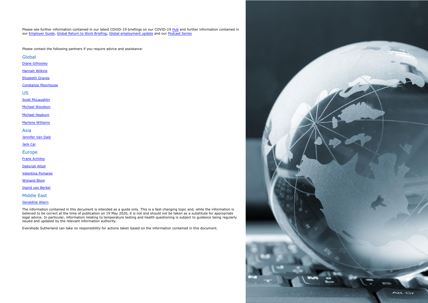Please see further information contained in our latest COVID-19 briefings on our COVID-19 [Hub](https://www.eversheds-sutherland.com/global/en/what/publications/coronavirus.page) and further information contained in our [Employer Guide,](https://eur01.safelinks.protection.outlook.com/?url=https%3A%2F%2Fezine.eversheds-sutherland.com%2Fcovid-19-global-employment-guide%2Fhome%2F&data=02%7C01%7Csanna.soukko%40eversheds.fi%7C92a19f92afee4f7c4bf008d7ec63d8b2%7C8579c28b5f664afb960ee5dec57167a4%7C0%7C0%7C637237786019404910&sdata=v9br2pV3lWNEzH8YUKGZ2dtcA29gIE%2FLTPVFg6m%2Bn2Q%3D&reserved=0) [Global Return to Work Briefing,](https://www.eversheds-sutherland.com/global/en/what/articles/index.page?ArticleID=en/coronavirus/coronavirus-returning-to-work) [Global employment update](https://www.eversheds-sutherland.com/global/en/what/practices/labour-employment-law/global-labour-employment-update.page?) and our [Podcast Series](https://www.eversheds-sutherland.com/global/en/what/articles/index.page?ArticleID=en/coronavirus/avoiding-coronavirus-chaos)

Please contact the following partners if you require advice and assistance:

**Global** 

[Diane Gilhooley](mailto:dianegilhooley@eversheds-sutherland.com)

[Hannah Wilkins](mailto:hannahwilkins@eversheds-sutherland.com)

[Elizabeth Graves](mailto:elizabethgraves@eversheds-sutherland.com)

[Constanze Moorhouse](mailto:constanzemoorhouse@eversheds-sutherland.com)

US

**[Scott McLaughlin](mailto:scottmclaughlin@eversheds-sutherland.com)** 

[Michael Woodson](mailto:michaelwoodson@eversheds-sutherland.com)

[Michael Hepburn](mailto:michaelhepburn@eversheds-sutherland.com)

[Marlene Williams](mailto:marlenewilliams@eversheds-sutherland.com)

Asia

[Jennifer Van Dale](mailto:jennifervandale@eversheds-sutherland.com)

[Jack Cai](mailto:jackcai@eversheds-sutherland.com)

Europe

[Frank Achilles](mailto:frankachilles@eversheds-sutherland.com)

[Deborah Attali](mailto:deborahattali@eversheds-sutherland.com)

[Valentina Pomares](mailto:valentinapomares@eversheds-sutherland.it)

[Wijnand Blom](mailto:wijnandblom@eversheds-sutherland.com)

[Ingrid van Berkel](mailto:IngridVanberkel@eversheds-sutherland.nl)

Middle East

[Geraldine Ahern](mailto:geraldineahern@eversheds-sutherland.com)

The information contained in this document is intended as a guide only. This is a fast-changing topic and, while the information is believed to be correct at the time of publication on 19 May 2020, it is not and should not be taken as a substitute for appropriate legal advice. In particular, information relating to temperature testing and health questioning is subject to guidance being regularly issued and updated by the relevant information authority.

Eversheds Sutherland can take no responsibility for actions taken based on the information contained in this document.